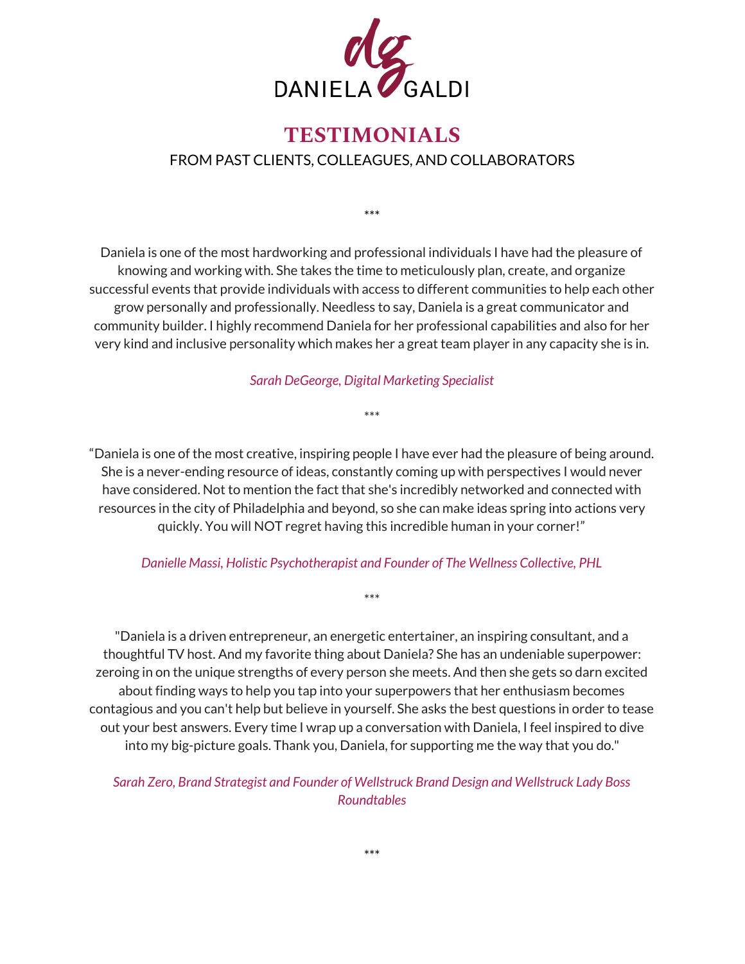

## **TESTIMONIALS** FROM PAST CLIENTS, COLLEAGUES, AND COLLABORATORS

\*\*\*

Daniela is one of the most hardworking and professional individuals I have had the pleasure of knowing and working with. She takes the time to meticulously plan, create, and organize successful events that provide individuals with access to different communities to help each other grow personally and professionally. Needless to say, Daniela is a great communicator and community builder. I highly recommend Daniela for her professional capabilities and also for her very kind and inclusive personality which makes her a great team player in any capacity she is in.

*Sarah DeGeorge, Digital Marketing Specialist*

\*\*\*

"Daniela is one of the most creative, inspiring people I have ever had the pleasure of being around. She is a never-ending resource of ideas, constantly coming up with perspectives I would never have considered. Not to mention the fact that she's incredibly networked and connected with resources in the city of Philadelphia and beyond, so she can make ideas spring into actions very quickly. You will NOT regret having this incredible human in your corner!"

## *Danielle Massi, Holistic Psychotherapist and Founder of The Wellness Collective, PHL*

\*\*\*

"Daniela is a driven entrepreneur, an energetic entertainer, an inspiring consultant, and a thoughtful TV host. And my favorite thing about Daniela? She has an undeniable superpower: zeroing in on the unique strengths of every person she meets. And then she gets so darn excited about finding ways to help you tap into your superpowers that her enthusiasm becomes contagious and you can't help but believe in yourself. She asks the best questions in order to tease out your best answers. Every time I wrap up a conversation with Daniela, I feel inspired to dive into my big-picture goals. Thank you, Daniela, for supporting me the way that you do."

*Sarah Zero, Brand Strategist and Founder of Wellstruck Brand Design and Wellstruck Lady Boss Roundtables*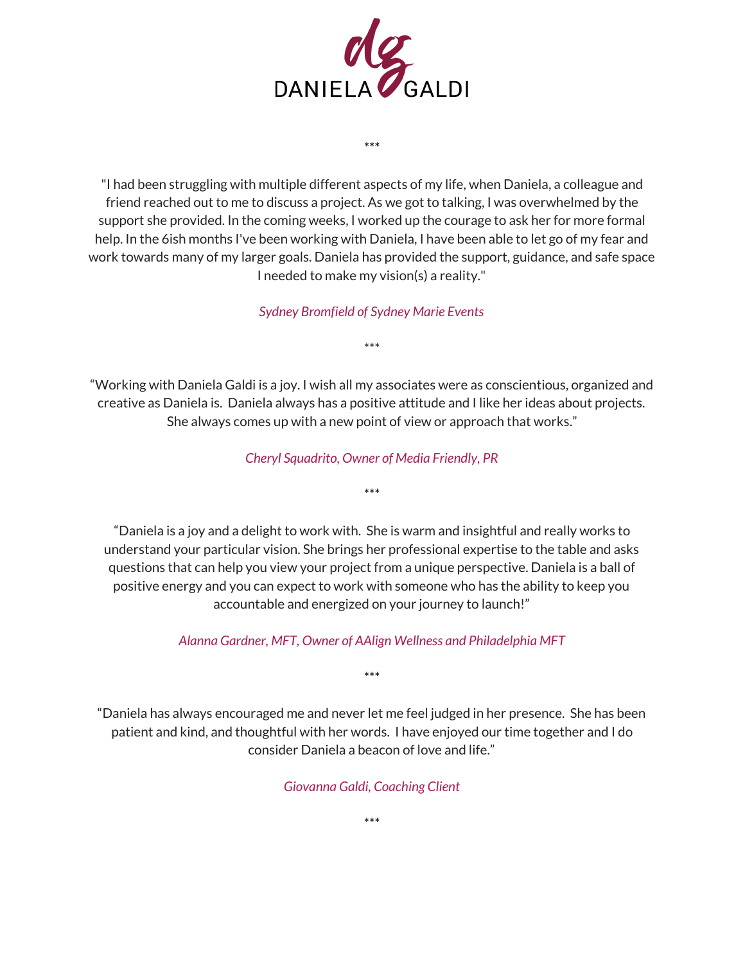

"I had been struggling with multiple different aspects of my life, when Daniela, a colleague and friend reached out to me to discuss a project. As we got to talking, I was overwhelmed by the support she provided. In the coming weeks, I worked up the courage to ask her for more formal help. In the 6ish months I've been working with Daniela, I have been able to let go of my fear and work towards many of my larger goals. Daniela has provided the support, guidance, and safe space I needed to make my vision(s) a reality."

\*\*\*

*Sydney Bromfield of Sydney Marie Events*

\*\*\*

"Working with Daniela Galdi is a joy. I wish all my associates were as conscientious, organized and creative as Daniela is. Daniela always has a positive attitude and I like her ideas about projects. She always comes up with a new point of view or approach that works."

*Cheryl Squadrito, Owner of Media Friendly, PR*

\*\*\*

"Daniela is a joy and a delight to work with. She is warm and insightful and really works to understand your particular vision. She brings her professional expertise to the table and asks questions that can help you view your project from a unique perspective. Daniela is a ball of positive energy and you can expect to work with someone who has the ability to keep you accountable and energized on your journey to launch!"

*Alanna Gardner, MFT, Owner of AAlign Wellness and Philadelphia MFT*

\*\*\*

"Daniela has always encouraged me and never let me feel judged in her presence. She has been patient and kind, and thoughtful with her words. I have enjoyed our time together and I do consider Daniela a beacon of love and life."

*Giovanna Galdi, Coaching Client*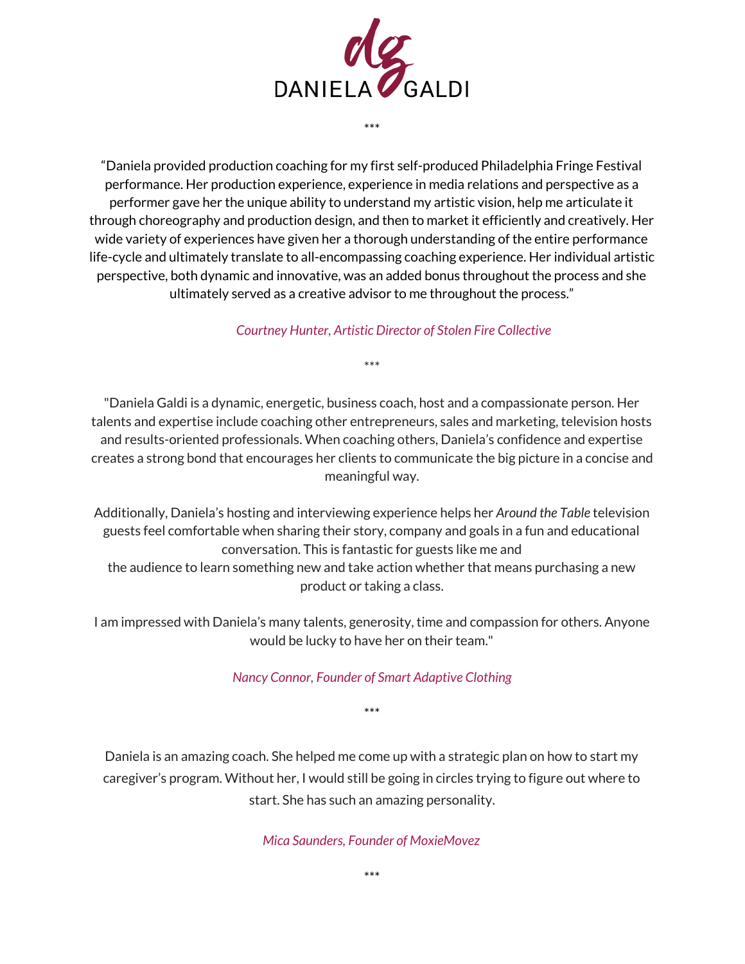

\*\*\*

"Daniela provided production coaching for my first self-produced Philadelphia Fringe Festival performance. Her production experience, experience in media relations and perspective as a performer gave her the unique ability to understand my artistic vision, help me articulate it through choreography and production design, and then to market it efficiently and creatively. Her wide variety of experiences have given her a thorough understanding of the entire performance life-cycle and ultimately translate to all-encompassing coaching experience. Her individual artistic perspective, both dynamic and innovative, was an added bonus throughout the process and she ultimately served as a creative advisor to me throughout the process."

## *Courtney Hunter, Artistic Director of Stolen Fire Collective*

"Daniela Galdi is a dynamic, energetic, business coach, host and a compassionate person. Her talents and expertise include coaching other entrepreneurs, sales and marketing, television hosts and results-oriented professionals. When coaching others, Daniela's confidence and expertise creates a strong bond that encourages her clients to communicate the big picture in a concise and meaningful way.

\*\*\*

Additionally, Daniela's hosting and interviewing experience helps her *Around the Table* television guests feel comfortable when sharing their story, company and goals in a fun and educational conversation. This is fantastic for guests like me and the audience to learn something new and take action whether that means purchasing a new product or taking a class.

I am impressed with Daniela's many talents, generosity, time and compassion for others. Anyone would be lucky to have her on their team."

## *Nancy Connor, Founder of Smart Adaptive Clothing*

\*\*\*

Daniela is an amazing coach. She helped me come up with a strategic plan on how to start my caregiver's program. Without her, I would still be going in circles trying to figure out where to start. She has such an amazing personality.

*Mica Saunders, Founder of MoxieMovez*